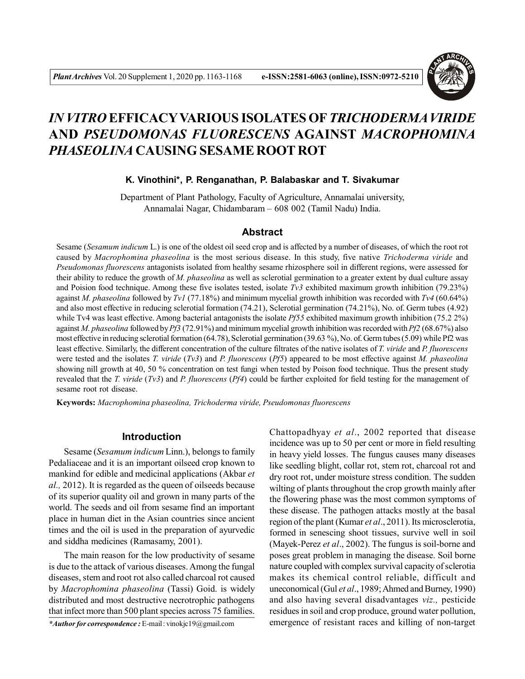

# *IN VITRO* **EFFICACYVARIOUS ISOLATES OF***TRICHODERMA VIRIDE* **AND** *PSEUDOMONAS FLUORESCENS* **AGAINST** *MACROPHOMINA PHASEOLINA* **CAUSING SESAME ROOT ROT**

### **K. Vinothini\*, P. Renganathan, P. Balabaskar and T. Sivakumar**

Department of Plant Pathology, Faculty of Agriculture, Annamalai university, Annamalai Nagar, Chidambaram – 608 002 (Tamil Nadu) India.

### **Abstract**

Sesame (*Sesamum indicum* L.) is one of the oldest oil seed crop and is affected by a number of diseases, of which the root rot caused by *Macrophomina phaseolina* is the most serious disease. In this study, five native *Trichoderma viride* and *Pseudomonas fluorescens* antagonists isolated from healthy sesame rhizosphere soil in different regions, were assessed for their ability to reduce the growth of *M. phaseolina* as well as sclerotial germination to a greater extent by dual culture assay and Poision food technique. Among these five isolates tested, isolate *Tv3* exhibited maximum growth inhibition (79.23%) against *M. phaseolina* followed by *Tv1* (77.18%) and minimum mycelial growth inhibition was recorded with *Tv4* (60.64%) and also most effective in reducing sclerotial formation (74.21), Sclerotial germination (74.21%), No. of. Germ tubes (4.92) while Tv4 was least effective. Among bacterial antagonists the isolate *Pf55* exhibited maximum growth inhibition (75.2 2%) against *M. phaseolina* followed by *Pf3* (72.91%) and minimum mycelial growth inhibition was recorded with *Pf2* (68.67%) also most effective in reducing sclerotial formation (64.78), Sclerotial germination (39.63 %), No. of. Germ tubes (5.09) while Pf2 was least effective. Similarly, the different concentration of the culture filtrates of the native isolates of *T. viride* and *P. fluorescens* were tested and the isolates *T. viride* (*Tv3*) and *P. fluorescens* (*Pf5*) appeared to be most effective against *M. phaseolina* showing nill growth at 40, 50 % concentration on test fungi when tested by Poison food technique. Thus the present study revealed that the *T. viride* (*Tv3*) and *P. fluorescens* (*Pf4*) could be further exploited for field testing for the management of sesame root rot disease.

**Keywords:** *Macrophomina phaseolina, Trichoderma viride, Pseudomonas fluorescens*

#### **Introduction**

Sesame (*Sesamum indicum* Linn.), belongs to family Pedaliaceae and it is an important oilseed crop known to mankind for edible and medicinal applications (Akbar *et al.,* 2012). It is regarded as the queen of oilseeds because of its superior quality oil and grown in many parts of the world. The seeds and oil from sesame find an important place in human diet in the Asian countries since ancient times and the oil is used in the preparation of ayurvedic and siddha medicines (Ramasamy, 2001).

The main reason for the low productivity of sesame is due to the attack of various diseases. Among the fungal diseases, stem and root rot also called charcoal rot caused by *Macrophomina phaseolina* (Tassi) Goid. is widely distributed and most destructive necrotrophic pathogens that infect more than 500 plant species across 75 families.

*\*Author for correspondence :* E-mail : vinokjc19@gmail.com

Chattopadhyay *et al*., 2002 reported that disease incidence was up to 50 per cent or more in field resulting in heavy yield losses. The fungus causes many diseases like seedling blight, collar rot, stem rot, charcoal rot and dry root rot, under moisture stress condition. The sudden wilting of plants throughout the crop growth mainly after the flowering phase was the most common symptoms of these disease. The pathogen attacks mostly at the basal region of the plant (Kumar *et al*., 2011). Its microsclerotia, formed in senescing shoot tissues, survive well in soil (Mayek-Perez *et al*., 2002). The fungus is soil-borne and poses great problem in managing the disease. Soil borne nature coupled with complex survival capacity of sclerotia makes its chemical control reliable, difficult and uneconomical (Gul *et al*., 1989; Ahmed and Burney, 1990) and also having several disadvantages *viz.,* pesticide residues in soil and crop produce, ground water pollution, emergence of resistant races and killing of non-target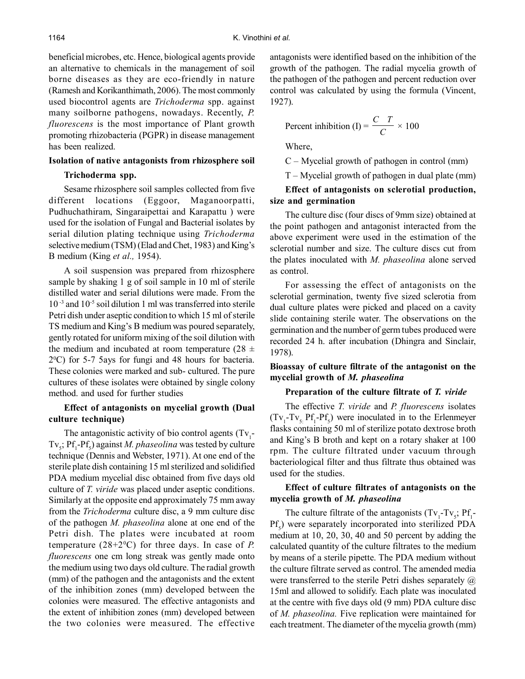beneficial microbes, etc. Hence, biological agents provide an alternative to chemicals in the management of soil borne diseases as they are eco-friendly in nature (Ramesh and Korikanthimath, 2006). The most commonly used biocontrol agents are *Trichoderma* spp. against many soilborne pathogens, nowadays. Recently, *P. fluorescens* is the most importance of Plant growth promoting rhizobacteria (PGPR) in disease management has been realized.

## **Isolation of native antagonists from rhizosphere soil**

### **Trichoderma spp.**

Sesame rhizosphere soil samples collected from five different locations (Eggoor, Maganoorpatti, Pudhuchathiram, Singaraipettai and Karapattu ) were used for the isolation of Fungal and Bacterial isolates by serial dilution plating technique using *Trichoderma* selective medium (TSM) (Elad and Chet, 1983) and King's B medium (King *et al.,* 1954).

A soil suspension was prepared from rhizosphere sample by shaking 1 g of soil sample in 10 ml of sterile distilled water and serial dilutions were made. From the 10 -3 and 10-5 soil dilution 1 ml was transferred into sterile Petri dish under aseptic condition to which 15 ml of sterile TS medium and King's B medium was poured separately, gently rotated for uniform mixing of the soil dilution with the medium and incubated at room temperature (28  $\pm$ 2 <sup>0</sup>C) for 5-7 5ays for fungi and 48 hours for bacteria. These colonies were marked and sub- cultured. The pure cultures of these isolates were obtained by single colony method. and used for further studies

### **Effect of antagonists on mycelial growth (Dual culture technique)**

The antagonistic activity of bio control agents  $(Tv_1$ -Tv<sub>5</sub>; Pf<sub>1</sub>-Pf<sub>5</sub>) against *M. phaseolina* was tested by culture technique (Dennis and Webster, 1971). At one end of the sterile plate dish containing 15 ml sterilized and solidified PDA medium mycelial disc obtained from five days old culture of *T. viride* was placed under aseptic conditions. Similarly at the opposite end approximately 75 mm away from the *Trichoderma* culture disc, a 9 mm culture disc of the pathogen *M. phaseolina* alone at one end of the Petri dish. The plates were incubated at room temperature  $(28+2°C)$  for three days. In case of *P*. *fluorescens* one cm long streak was gently made onto the medium using two days old culture. The radial growth (mm) of the pathogen and the antagonists and the extent of the inhibition zones (mm) developed between the colonies were measured. The effective antagonists and the extent of inhibition zones (mm) developed between the two colonies were measured. The effective antagonists were identified based on the inhibition of the growth of the pathogen. The radial mycelia growth of the pathogen of the pathogen and percent reduction over control was calculated by using the formula (Vincent, 1927).

Percent inhibition (I) = 
$$
\frac{C T}{C} \times 100
$$

Where,

C – Mycelial growth of pathogen in control (mm)

T – Mycelial growth of pathogen in dual plate (mm)

### **Effect of antagonists on sclerotial production, size and germination**

The culture disc (four discs of 9mm size) obtained at the point pathogen and antagonist interacted from the above experiment were used in the estimation of the sclerotial number and size. The culture discs cut from the plates inoculated with *M. phaseolina* alone served as control.

For assessing the effect of antagonists on the sclerotial germination, twenty five sized sclerotia from dual culture plates were picked and placed on a cavity slide containing sterile water. The observations on the germination and the number of germ tubes produced were recorded 24 h. after incubation (Dhingra and Sinclair, 1978).

# **Bioassay of culture filtrate of the antagonist on the mycelial growth of** *M. phaseolina*

#### **Preparation of the culture filtrate of** *T. viride*

The effective *T. viride* and *P. fluorescens* isolates  $(Tv_1 - Tv_5 Pf_1 - Pf_5)$  were inoculated in to the Erlenmeyer flasks containing 50 ml of sterilize potato dextrose broth and King's B broth and kept on a rotary shaker at 100 rpm. The culture filtrated under vacuum through bacteriological filter and thus filtrate thus obtained was used for the studies.

# **Effect of culture filtrates of antagonists on the mycelia growth of** *M. phaseolina*

The culture filtrate of the antagonists  $(Tv_1 - Tv_5; Pf_1 - Tv_6)$  $Pf_5$ ) were separately incorporated into sterilized PDA medium at 10, 20, 30, 40 and 50 percent by adding the calculated quantity of the culture filtrates to the medium by means of a sterile pipette. The PDA medium without the culture filtrate served as control. The amended media were transferred to the sterile Petri dishes separately  $\omega$ 15ml and allowed to solidify. Each plate was inoculated at the centre with five days old (9 mm) PDA culture disc of *M. phaseolina.* Five replication were maintained for each treatment. The diameter of the mycelia growth (mm)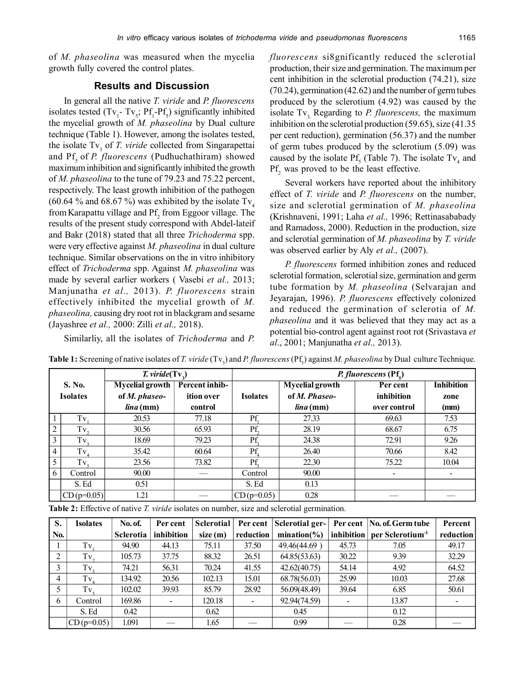of *M. phaseolina* was measured when the mycelia growth fully covered the control plates.

#### **Results and Discussion**

In general all the native *T. viride* and *P. fluorescens* isolates tested  $(Tv_1 - Tv_2; Pf_1 - Pf_5)$  significantly inhibited the mycelial growth of *M. phaseolina* by Dual culture technique (Table 1). However, among the isolates tested, the isolate Tv<sub>3</sub> of *T. viride* collected from Singarapettai and Pf<sub>5</sub> of *P. fluorescens* (Pudhuchathiram) showed maximum inhibition and significantly inhibited the growth of *M. phaseolina* to the tune of 79.23 and 75.22 percent, respectively. The least growth inhibition of the pathogen (60.64 % and 68.67 %) was exhibited by the isolate  $Tv_4$ from Karapattu village and  $Pf_2$  from Eggoor village. The results of the present study correspond with Abdel-lateif and Bakr (2018) stated that all three *Trichoderma* spp. were very effective against *M. phaseolina* in dual culture technique. Similar observations on the in vitro inhibitory effect of *Trichoderma* spp. Against *M. phaseolina* was made by several earlier workers ( Vasebi *et al.,* 2013; Manjunatha *et al.,* 2013). *P. fluorescens* strain effectively inhibited the mycelial growth of *M. phaseolina,* causing dry root rot in blackgram and sesame (Jayashree *et al.,* 2000: Zilli *et al.,* 2018).

Similarliy, all the isolates of *Trichoderma* and *P.*

*fluorescens* si8gnificantly reduced the sclerotial production, their size and germination. The maximum per cent inhibition in the sclerotial production (74.21), size (70.24), germination (42.62) and the number of germ tubes produced by the sclerotium (4.92) was caused by the isolate Tv<sub>3</sub>. Regarding to *P. fluorescens*, the maximum inhibition on the sclerotial production (59.65), size (41.35 per cent reduction), germination (56.37) and the number of germ tubes produced by the sclerotium (5.09) was caused by the isolate  $Pf_5$  (Table 7). The isolate Tv<sub>4</sub> and  $Pf_2$  was proved to be the least effective.

Several workers have reported about the inhibitory effect of *T. viride* and *P. fluorescens* on the number, size and sclerotial germination of *M. phaseolina* (Krishnaveni, 1991; Laha *et al.,* 1996; Rettinasababady and Ramadoss, 2000). Reduction in the production, size and sclerotial germination of *M. phaseolina* by *T. viride* was observed earlier by Aly *et al.,* (2007).

*P. fluorescens* formed inhibition zones and reduced sclerotial formation, sclerotial size, germination and germ tube formation by *M. phaseolina* (Selvarajan and Jeyarajan, 1996). *P. fluorescens* effectively colonized and reduced the germination of sclerotia of *M. phaseolina* and it was believed that they may act as a potential bio-control agent against root rot (Srivastava *et al*., 2001; Manjunatha *et al.,* 2013).

 $\frac{T. \text{virtide}(\text{Tv}_3)}{T. \text{growth} \mid \text{Percent inhib-}}$ *P. fluorescens* **(Pf<sub>5</sub>) S. No. Mycelial growth Percent inhib- Mycelial growth Per cent Inhibition Isolates of** *M. phaseo-* **ition over Isolates of** *M. Phaseo-* **inhibition zone** *lina* **(mm) control** *lina* **(mm) over control (mm)**  $rac{1}{2}$  Tv<sub>1</sub> 20.53 77.18  $\Pr_1$ 27.33 69.63 7.53  $\frac{2}{3}$  Tv<sub>2</sub> 30.56 65.93 Pf 28.19 68.67 6.75  $\begin{array}{c|c}\n3 & Tv_3 \\
\hline\n4 & Tv_4\n\end{array}$ 18.69 79.23  $Pf_3$ 24.38 72.91 9.26  $\begin{array}{c|c}\n4 & Tv_4 \\
\hline\n5 & Tv_4\n\end{array}$ 35.42 60.64 Pf<sub>4</sub><br>23.56 73.82 Pf<sub>4</sub> 26.40 70.66 8.42  $rac{5}{6}$  Tv<sub>5</sub> 23.56 73.82 Pf<sub>5</sub> 22.30 75.22 10.04 6 | Control | 90.00 | — | Control | 90.00 | - | -S. Ed 0.51 | S. Ed 0.13  $CD (p=0.05)$  1.21  $|CD (p=0.05)$  0.28

**Table 1:** Screening of native isolates of *T. viride* (Tv<sub>3</sub>) and *P. fluorescens* (Pf<sub>5</sub>) against *M. phaseolina* by Dual culture Technique.

**Table 2:** Effective of native *T. viride* isolates on number, size and sclerotial germination.

| S.  | <b>Isolates</b> | <b>No. of.</b> | Per cent                 | Sclerotial |           | Per cent Sclerotial ger- |       | Per cent   No. of. Germ tube              | Percent                  |
|-----|-----------------|----------------|--------------------------|------------|-----------|--------------------------|-------|-------------------------------------------|--------------------------|
| No. |                 | Sclerotia      | inhibition               | size(m)    | reduction | $mination(\%)$           |       | inhibition   per Sclerotium <sup>-1</sup> | reduction                |
|     | Tv.             | 94.90          | 44.13                    | 75.11      | 37.50     | 49.46(44.69)             | 45.73 | 7.05                                      | 49.17                    |
| 2   | $Tv_{2}$        | 105.73         | 37.75                    | 88.32      | 26.51     | 64.85(53.63)             | 30.22 | 9.39                                      | 32.29                    |
|     | Tv,             | 74.21          | 56.31                    | 70.24      | 41.55     | 42.62(40.75)             | 54.14 | 4.92                                      | 64.52                    |
| 4   | Tv              | 134.92         | 20.56                    | 102.13     | 15.01     | 68.78(56.03)             | 25.99 | 10.03                                     | 27.68                    |
| 5   | $Tv_{c}$        | 102.02         | 39.93                    | 85.79      | 28.92     | 56.09(48.49)             | 39.64 | 6.85                                      | 50.61                    |
| 6   | Control         | 169.86         | $\overline{\phantom{a}}$ | 120.18     |           | 92.94(74.59)             |       | 13.87                                     | $\overline{\phantom{0}}$ |
|     | S. Ed           | 0.42           |                          | 0.62       |           | 0.45                     |       | 0.12                                      |                          |
|     | $CD (p=0.05)$   | 1.091          |                          | 1.65       |           | 0.99                     |       | 0.28                                      |                          |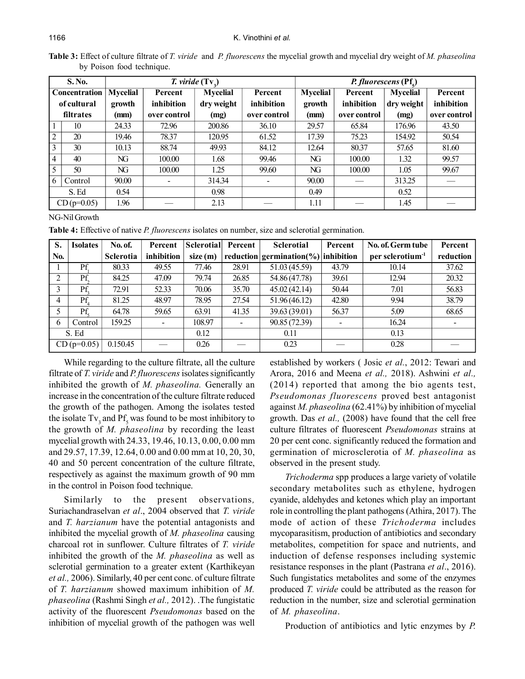**Table 3:** Effect of culture filtrate of *T. viride* and *P. fluorescens* the mycelial growth and mycelial dry weight of *M. phaseolina* by Poison food technique.

| S. No.               |         |                 |                          | <i>T.</i> viride $(Tv_2)$ |                          | <i>P. fluorescens</i> $( Pf_{s})$ |              |                 |              |  |
|----------------------|---------|-----------------|--------------------------|---------------------------|--------------------------|-----------------------------------|--------------|-----------------|--------------|--|
| <b>Concentration</b> |         | <b>Mycelial</b> | Percent                  | <b>Mycelial</b>           | Percent                  | <b>Mycelial</b>                   | Percent      | <b>Mycelial</b> | Percent      |  |
| of cultural          |         | growth          | inhibition               | dry weight                | inhibition               | growth                            | inhibition   | dry weight      | inhibition   |  |
| filtrates            |         | (mm)            | over control             | (mg)                      | over control             | (mm)                              | over control | (mg)            | over control |  |
|                      | 10      | 24.33           | 72.96                    | 200.86                    | 36.10                    | 29.57                             | 65.84        | 176.96          | 43.50        |  |
| 2                    | 20      | 19.46           | 78.37                    | 120.95                    | 61.52                    | 17.39                             | 75.23        | 154.92          | 50.54        |  |
| 3                    | 30      | 10.13           | 88.74                    | 49.93                     | 84.12                    | 12.64                             | 80.37        | 57.65           | 81.60        |  |
| $\vert$ 4            | 40      | NG              | 100.00                   | 1.68                      | 99.46                    | NG                                | 100.00       | 1.32            | 99.57        |  |
| 5                    | 50      | NG              | 100.00                   | 1.25                      | 99.60                    | NG                                | 100.00       | 1.05            | 99.67        |  |
| 6                    | Control | 90.00           | $\overline{\phantom{a}}$ | 314.34                    | $\overline{\phantom{a}}$ | 90.00                             |              | 313.25          |              |  |
|                      | S. Ed   | 0.54            |                          | 0.98                      |                          | 0.49                              |              | 0.52            |              |  |
| $CD (p=0.05)$        |         | 1.96            |                          | 2.13                      |                          | 1.11                              |              | 1.45            |              |  |

#### NG-Nil Growth

**Table 4:** Effective of native *P. fluorescens* isolates on number, size and sclerotial germination.

| S.    | <b>Isolates</b> | No. of.          | Percent                      | Sclerotial | Percent | <b>Sclerotial</b>                       | Percent | No. of. Germ tube            | Percent   |
|-------|-----------------|------------------|------------------------------|------------|---------|-----------------------------------------|---------|------------------------------|-----------|
| No.   |                 | <b>Sclerotia</b> | inhibition                   | size(m)    |         | reduction germination $\%$ ) inhibition |         | per sclerotium <sup>-1</sup> | reduction |
|       | Pf.             | 80.33            | 49.55                        | 77.46      | 28.91   | 51.03 (45.59)                           | 43.79   | 10.14                        | 37.62     |
| ↑     | Pf.             | 84.25            | 47.09                        | 79.74      | 26.85   | 54.86 (47.78)                           | 39.61   | 12.94                        | 20.32     |
| 3     | Pf.             | 72.91            | 52.33                        | 70.06      | 35.70   | 45.02(42.14)                            | 50.44   | 7.01                         | 56.83     |
| 4     | Pf.             | 81.25            | 48.97                        | 78.95      | 27.54   | 51.96(46.12)                            | 42.80   | 9.94                         | 38.79     |
|       | Pf.             | 64.78            | 59.65                        | 63.91      | 41.35   | 39.63 (39.01)                           | 56.37   | 5.09                         | 68.65     |
| 6     | Control         | 159.25           | $\qquad \qquad \blacksquare$ | 108.97     |         | 90.85 (72.39)                           |         | 16.24                        |           |
| S. Ed |                 |                  |                              | 0.12       |         | 0.11                                    |         | 0.13                         |           |
|       | $CD (p=0.05)$   | 0.150.45         |                              | 0.26       |         | 0.23                                    |         | 0.28                         |           |

While regarding to the culture filtrate, all the culture filtrate of *T. viride* and *P. fluorescens* isolates significantly inhibited the growth of *M. phaseolina.* Generally an increase in the concentration of the culture filtrate reduced the growth of the pathogen. Among the isolates tested the isolate  $Tv_3$  and  $Pf_5$  was found to be most inhibitory to the growth of *M. phaseolina* by recording the least mycelial growth with 24.33, 19.46, 10.13, 0.00, 0.00 mm and 29.57, 17.39, 12.64, 0.00 and 0.00 mm at 10, 20, 30, 40 and 50 percent concentration of the culture filtrate, respectively as against the maximum growth of 90 mm in the control in Poison food technique.

Similarly to the present observations*,* Suriachandraselvan *et al*., 2004 observed that *T. viride* and *T. harzianum* have the potential antagonists and inhibited the mycelial growth of *M. phaseolina* causing charcoal rot in sunflower. Culture filtrates of *T. viride* inhibited the growth of the *M. phaseolina* as well as sclerotial germination to a greater extent (Karthikeyan *et al.,* 2006). Similarly, 40 per cent conc. of culture filtrate of *T. harzianum* showed maximum inhibition of *M. phaseolina* (Rashmi Singh *et al.,* 2012). .The fungistatic activity of the fluorescent *Pseudomonas* based on the inhibition of mycelial growth of the pathogen was well

established by workers ( Josic *et al.*, 2012: Tewari and Arora, 2016 and Meena *et al.,* 2018). Ashwini *et al.,* (2014) reported that among the bio agents test, *Pseudomonas fluorescens* proved best antagonist against *M. phaseolina* (62.41%) by inhibition of mycelial growth. Das *et al.,* (2008) have found that the cell free culture filtrates of fluorescent *Pseudomonas* strains at 20 per cent conc. significantly reduced the formation and germination of microsclerotia of *M. phaseolina* as observed in the present study.

*Trichoderma* spp produces a large variety of volatile secondary metabolites such as ethylene, hydrogen cyanide, aldehydes and ketones which play an important role in controlling the plant pathogens (Athira, 2017). The mode of action of these *Trichoderma* includes mycoparasitism, production of antibiotics and secondary metabolites, competition for space and nutrients, and induction of defense responses including systemic resistance responses in the plant (Pastrana *et al*., 2016). Such fungistatics metabolites and some of the enzymes produced *T. viride* could be attributed as the reason for reduction in the number, size and sclerotial germination of *M. phaseolina*.

Production of antibiotics and lytic enzymes by *P.*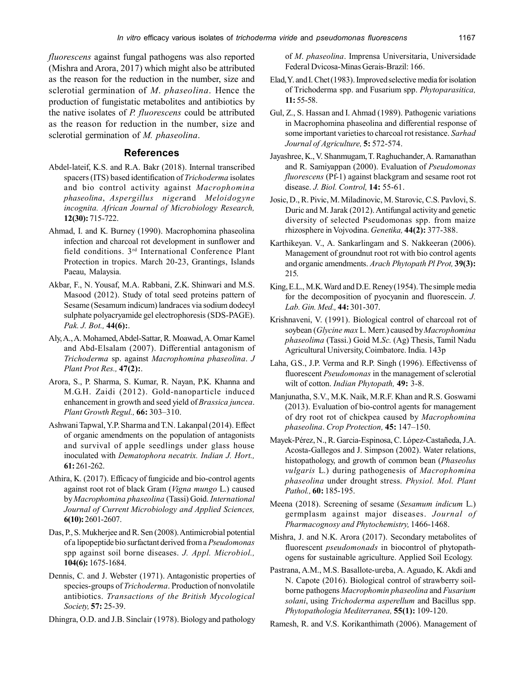*fluorescens* against fungal pathogens was also reported (Mishra and Arora, 2017) which might also be attributed as the reason for the reduction in the number, size and sclerotial germination of *M*. *phaseolina*. Hence the production of fungistatic metabolites and antibiotics by the native isolates of *P. fluorescens* could be attributed as the reason for reduction in the number, size and sclerotial germination of *M. phaseolina*.

## **References**

- Abdel-lateif, K.S. and R.A. Bakr (2018). Internal transcribed spacers (ITS) based identification of *Trichoderma* isolates and bio control activity against *Macrophomina phaseolina*, *Aspergillus niger*and *Meloidogyne incognita. African Journal of Microbiology Research,* **12(30):** 715-722.
- Ahmad, I. and K. Burney (1990). Macrophomina phaseolina infection and charcoal rot development in sunflower and field conditions. 3rd International Conference Plant Protection in tropics. March 20-23, Grantings, Islands Paeau, Malaysia.
- Akbar, F., N. Yousaf, M.A. Rabbani, Z.K. Shinwari and M.S. Masood (2012). Study of total seed proteins pattern of Sesame (Sesamum indicum) landraces via sodium dodecyl sulphate polyacryamide gel electrophoresis (SDS-PAGE). *Pak. J. Bot.,* **44(6):**.
- Aly, A., A. Mohamed, Abdel-Sattar, R. Moawad, A. Omar Kamel and Abd-Elsalam (2007). Differential antagonism of *Trichoderma* sp. against *Macrophomina phaseolina*. *J Plant Prot Res.,* **47(2):**.
- Arora, S., P. Sharma, S. Kumar, R. Nayan, P.K. Khanna and M.G.H. Zaidi (2012). Gold-nanoparticle induced enhancement in growth and seed yield of *Brassica juncea*. *Plant Growth Regul.,* **66:** 303–310.
- Ashwani Tapwal, Y.P. Sharma and T.N. Lakanpal (2014). Effect of organic amendments on the population of antagonists and survival of apple seedlings under glass house inoculated with *Dematophora necatrix. Indian J. Hort.,* **61:** 261-262.
- Athira, K. (2017). Efficacy of fungicide and bio-control agents against root rot of black Gram (*Vigna mungo* L.) caused by *Macrophomina phaseolina* (Tassi) Goid. *International Journal of Current Microbiology and Applied Sciences,* **6(10):** 2601-2607.
- Das, P., S. Mukherjee and R. Sen (2008). Antimicrobial potential of a lipopeptide bio surfactant derived from a *Pseudomonas* spp against soil borne diseases. *J. Appl. Microbiol.,* **104(6):** 1675-1684.
- Dennis, C. and J. Webster (1971). Antagonistic properties of species-groups of *Trichoderma*. Production of nonvolatile antibiotics. *Transactions of the British Mycological Society,* **57:** 25-39.

Dhingra, O.D. and J.B. Sinclair (1978). Biology and pathology

of *M*. *phaseolina*. Imprensa Universitaria, Universidade Federal Dvicosa-Minas Gerais-Brazil: 166.

- Elad, Y. and I. Chet (1983). Improved selective media for isolation of Trichoderma spp. and Fusarium spp. *Phytoparasitica,* **11:** 55-58.
- Gul, Z., S. Hassan and I. Ahmad (1989). Pathogenic variations in Macrophomina phaseolina and differential response of some important varieties to charcoal rot resistance. *Sarhad Journal of Agriculture,* **5:** 572-574.
- Jayashree, K., V. Shanmugam, T. Raghuchander, A. Ramanathan and R. Samiyappan (2000). Evaluation of *Pseudomonas fluorescens* (Pf-1) against blackgram and sesame root rot disease. *J. Biol. Control,* **14:** 55-61.
- Josic, D., R. Pivic, M. Miladinovic, M. Starovic, C.S. Pavlovi, S. Duric and M. Jarak (2012). Antifungal activity and genetic diversity of selected Pseudomonas spp. from maize rhizosphere in Vojvodina. *Genetika,* **44(2):** 377-388.
- Karthikeyan. V., A. Sankarlingam and S. Nakkeeran (2006). Management of groundnut root rot with bio control agents and organic amendments. *Arach Phytopath Pl Prot,* **39(3):** 215.
- King, E.L., M.K. Ward and D.E. Reney (1954). The simple media for the decomposition of pyocyanin and fluorescein. *J. Lab. Gin. Med.,* **44:** 301-307.
- Krishnaveni, V. (1991). Biological control of charcoal rot of soybean (*Glycine max* L. Merr.) caused by *Macrophomina phaseolima* (Tassi.) Goid M.*Sc.* (Ag) Thesis, Tamil Nadu Agricultural University, Coimbatore. India. 143p
- Laha, G.S., J.P. Verma and R.P. Singh (1996). Effectivenss of fluorescent *Pseudomonas* in the management of sclerotial wilt of cotton. *Indian Phytopath,* **49:** 3-8.
- Manjunatha, S.V., M.K. Naik, M.R.F. Khan and R.S. Goswami (2013). Evaluation of bio-control agents for management of dry root rot of chickpea caused by *Macrophomina phaseolina*. *Crop Protection,* **45:** 147–150.
- Mayek-Pérez, N., R. Garcia-Espinosa, C. López-Castañeda, J.A. Acosta-Gallegos and J. Simpson (2002). Water relations, histopathology, and growth of common bean (*Phaseolus vulgaris* L.) during pathogenesis of *Macrophomina phaseolina* under drought stress. *Physiol. Mol. Plant Pathol.,* **60:** 185-195.
- Meena (2018). Screening of sesame (*Sesamum indicum* L.) germplasm against major diseases. *Journal of Pharmacognosy and Phytochemistry,* 1466-1468.
- Mishra, J. and N.K. Arora (2017). Secondary metabolites of fluorescent *pseudomonads* in biocontrol of phytopathogens for sustainable agriculture. Applied Soil Ecology.
- Pastrana, A.M., M.S. Basallote-ureba, A. Aguado, K. Akdi and N. Capote (2016). Biological control of strawberry soilborne pathogens *Macrophomin phaseolina* and *Fusarium solani*, using *Trichoderma asperellum* and Bacillus spp. *Phytopathologia Mediterranea,* **55(1):** 109-120.
- Ramesh, R. and V.S. Korikanthimath (2006). Management of